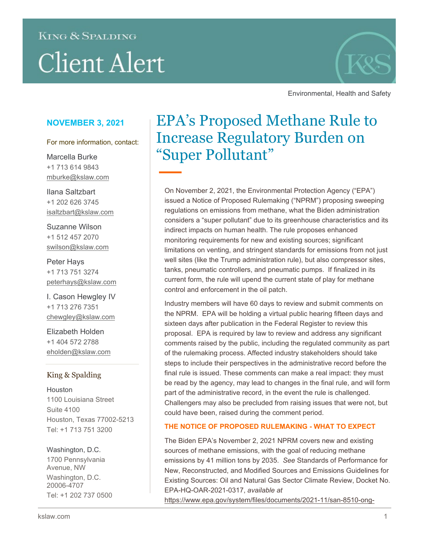# **KING & SPALDING Client Alert**



Environmental, Health and Safety

### **NOVEMBER 3, 2021**

For more information, contact:

Marcella Burke +1 713 614 9843 mburke@kslaw.com

Ilana Saltzbart +1 202 626 3745 isaltzbart@kslaw.com

Suzanne Wilson +1 512 457 2070 swilson@kslaw.com

Peter Hays +1 713 751 3274 [peterhays@kslaw.com](mailto:peterhays@kslaw.com)

I. Cason Hewgley IV +1 713 276 7351 [chewgley@kslaw.com](mailto:chewgley@kslaw.com)

Elizabeth Holden +1 404 572 2788 [eholden@kslaw.com](mailto:eholden@kslaw.com)

### King & Spalding

Houston 1100 Louisiana Street Suite 4100 Houston, Texas 77002-5213 Tel: +1 713 751 3200

Washington, D.C. 1700 Pennsylvania Avenue, NW Washington, D.C. 20006-4707 Tel: +1 202 737 0500

## EPA's Proposed Methane Rule to Increase Regulatory Burden on "Super Pollutant"

On November 2, 2021, the Environmental Protection Agency ("EPA") issued a Notice of Proposed Rulemaking ("NPRM") proposing sweeping regulations on emissions from methane, what the Biden administration considers a "super pollutant" due to its greenhouse characteristics and its indirect impacts on human health. The rule proposes enhanced monitoring requirements for new and existing sources; significant limitations on venting, and stringent standards for emissions from not just well sites (like the Trump administration rule), but also compressor sites, tanks, pneumatic controllers, and pneumatic pumps. If finalized in its current form, the rule will upend the current state of play for methane control and enforcement in the oil patch.

Industry members will have 60 days to review and submit comments on the NPRM. EPA will be holding a virtual public hearing fifteen days and sixteen days after publication in the Federal Register to review this proposal. EPA is required by law to review and address any significant comments raised by the public, including the regulated community as part of the rulemaking process. Affected industry stakeholders should take steps to include their perspectives in the administrative record before the final rule is issued. These comments can make a real impact: they must be read by the agency, may lead to changes in the final rule, and will form part of the administrative record, in the event the rule is challenged. Challengers may also be precluded from raising issues that were not, but could have been, raised during the comment period.

### **THE NOTICE OF PROPOSED RULEMAKING - WHAT TO EXPECT**

The Biden EPA's November 2, 2021 NPRM covers new and existing sources of methane emissions, with the goal of reducing methane emissions by 41 million tons by 2035. *See* Standards of Performance for New, Reconstructed, and Modified Sources and Emissions Guidelines for Existing Sources: Oil and Natural Gas Sector Climate Review, Docket No. EPA-HQ-OAR-2021-0317, *available at* https://www.epa.gov/system/files/documents/2021-11/san-8510-ong-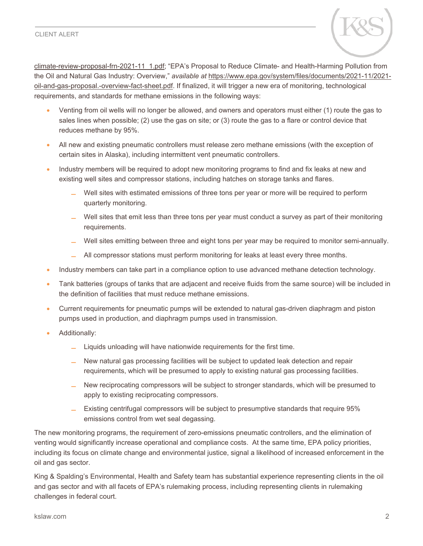

climate-review-proposal-frn-2021-11\_1.pdf; "EPA's Proposal to Reduce Climate- and Health-Harming Pollution from the Oil and Natural Gas Industry: Overview," *available at* https://www.epa.gov/system/files/documents/2021-11/2021 oil-and-gas-proposal.-overview-fact-sheet.pdf. If finalized, it will trigger a new era of monitoring, technological requirements, and standards for methane emissions in the following ways:

- Venting from oil wells will no longer be allowed, and owners and operators must either (1) route the gas to sales lines when possible; (2) use the gas on site; or (3) route the gas to a flare or control device that reduces methane by 95%.
- All new and existing pneumatic controllers must release zero methane emissions (with the exception of certain sites in Alaska), including intermittent vent pneumatic controllers.
- Industry members will be required to adopt new monitoring programs to find and fix leaks at new and existing well sites and compressor stations, including hatches on storage tanks and flares.
	- Well sites with estimated emissions of three tons per year or more will be required to perform quarterly monitoring.
	- **̶** Well sites that emit less than three tons per year must conduct a survey as part of their monitoring requirements.
	- **̶** Well sites emitting between three and eight tons per year may be required to monitor semi-annually.
	- **̶** All compressor stations must perform monitoring for leaks at least every three months.
- Industry members can take part in a compliance option to use advanced methane detection technology.
- Tank batteries (groups of tanks that are adjacent and receive fluids from the same source) will be included in the definition of facilities that must reduce methane emissions.
- Current requirements for pneumatic pumps will be extended to natural gas-driven diaphragm and piston pumps used in production, and diaphragm pumps used in transmission.
- Additionally:
	- **̶** Liquids unloading will have nationwide requirements for the first time.
	- **̶** New natural gas processing facilities will be subject to updated leak detection and repair requirements, which will be presumed to apply to existing natural gas processing facilities.
	- **̶** New reciprocating compressors will be subject to stronger standards, which will be presumed to apply to existing reciprocating compressors.
	- **̶** Existing centrifugal compressors will be subject to presumptive standards that require 95% emissions control from wet seal degassing.

The new monitoring programs, the requirement of zero-emissions pneumatic controllers, and the elimination of venting would significantly increase operational and compliance costs. At the same time, EPA policy priorities, including its focus on climate change and environmental justice, signal a likelihood of increased enforcement in the oil and gas sector.

King & Spalding's Environmental, Health and Safety team has substantial experience representing clients in the oil and gas sector and with all facets of EPA's rulemaking process, including representing clients in rulemaking challenges in federal court.